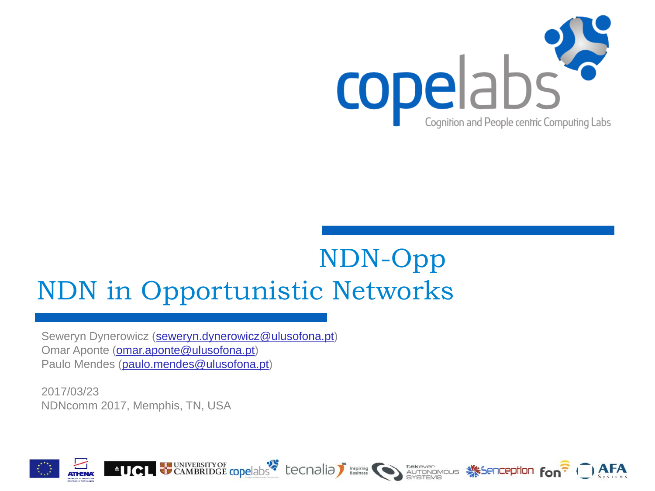

# NDN-Opp NDN in Opportunistic Networks

Seweryn Dynerowicz ([seweryn.dynerowicz@ulusofona.pt](mailto:seweryn.dynerowicz@ulusofona.pt)) Omar Aponte ([omar.aponte@ulusofona.pt](mailto:omar.aponte@ulusofona.pt)) Paulo Mendes ([paulo.mendes@ulusofona.pt](mailto:paulo.mendes@ulusofona.pt))

2017/03/23 NDNcomm 2017, Memphis, TN, USA



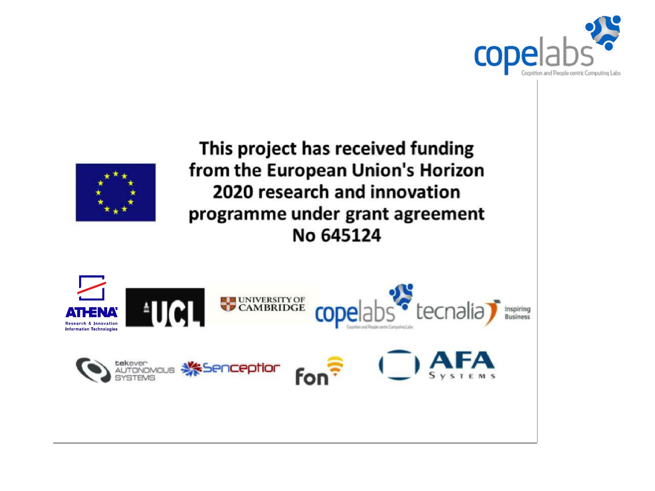



This project has received funding from the European Union's Horizon 2020 research and innovation programme under grant agreement No 645124

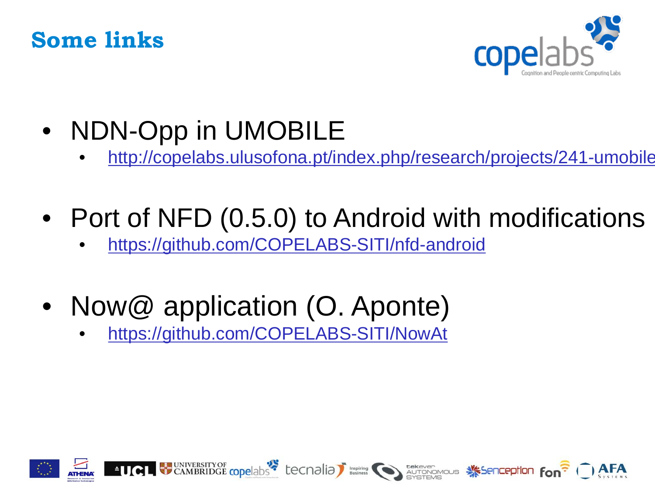



- NDN-Opp in UMOBILE
	- <http://copelabs.ulusofona.pt/index.php/research/projects/241-umobile>

**ALCOLAR CAMBRIDGE COPE ADS COLORED AND DESCRIPTION DESCRIPTION OF ALL PROPERTY OF ALCORD AND ALL PROPERTY OF ALCORD AND ALL PROPERTY OF A READ** 

- Port of NFD (0.5.0) to Android with modifications
	- <https://github.com/COPELABS-SITI/nfd-android>
- Now@ application (O. Aponte)
	- [https://github.com/COPELABS-SITI/NowAt](https://github.com/COPELABS-SITI/nfd-android)

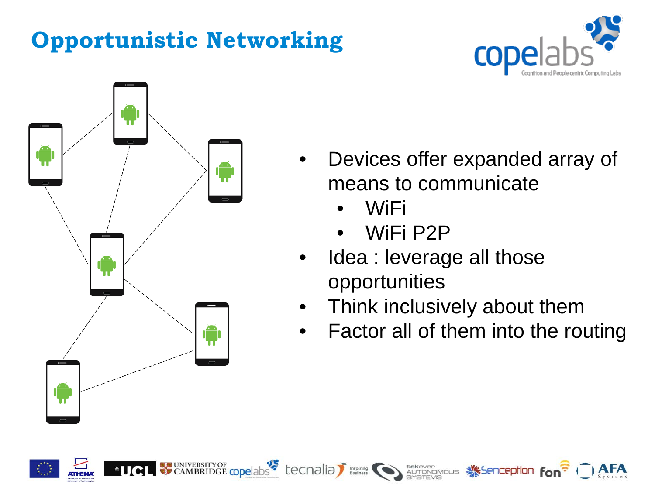# **Opportunistic Networking**





- Devices offer expanded array of means to communicate
	- WiFi
	- WiFi P2P

CAMBRIDGE copelabs tecnalia business to autonomous Secretary Fon<sup>2</sup>

- Idea : leverage all those opportunities
- Think inclusively about them
- Factor all of them into the routing

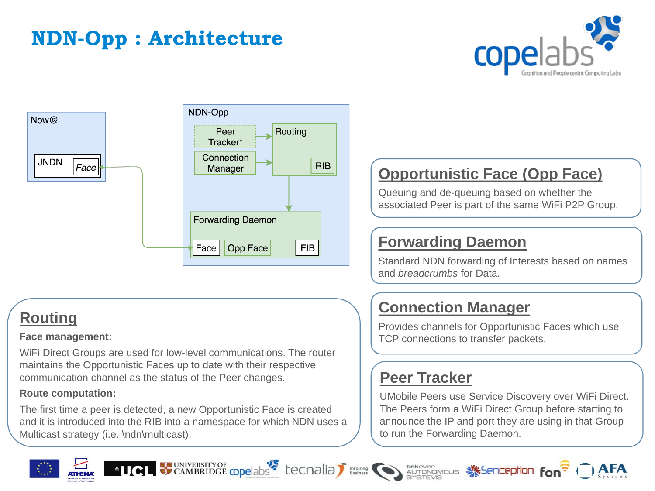# **NDN-Opp : Architecture**





### **Routing**

#### **Face management:**

WiFi Direct Groups are used for low-level communications. The router maintains the Opportunistic Faces up to date with their respective communication channel as the status of the Peer changes.

#### **Route computation:**

The first time a peer is detected, a new Opportunistic Face is created and it is introduced into the RIB into a namespace for which NDN uses a Multicast strategy (i.e. \ndn\multicast).

### **Opportunistic Face (Opp Face)**

Queuing and de-queuing based on whether the associated Peer is part of the same WiFi P2P Group.

#### **Forwarding Daemon**

Standard NDN forwarding of Interests based on names and *breadcrumbs* for Data.

#### **Connection Manager**

Provides channels for Opportunistic Faces which use TCP connections to transfer packets.

#### **Peer Tracker**

UMobile Peers use Service Discovery over WiFi Direct. The Peers form a WiFi Direct Group before starting to announce the IP and port they are using in that Group to run the Forwarding Daemon.









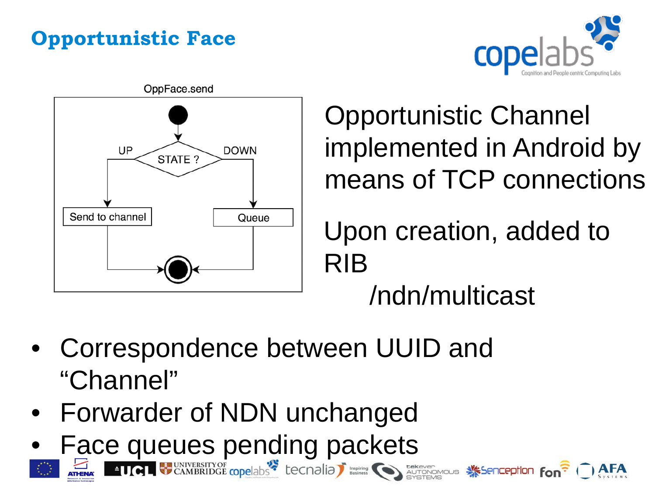# **Opportunistic Face**





Opportunistic Channel implemented in Android by means of TCP connections

Upon creation, added to RIB

/ndn/multicast

- Correspondence between UUID and "Channel"
- Forwarder of NDN unchanged
- Face queues pending packets<br>Entry Find Weaverstrop opelabs tecnalial strategy of the second strategy and the second fon<sup>?</sup>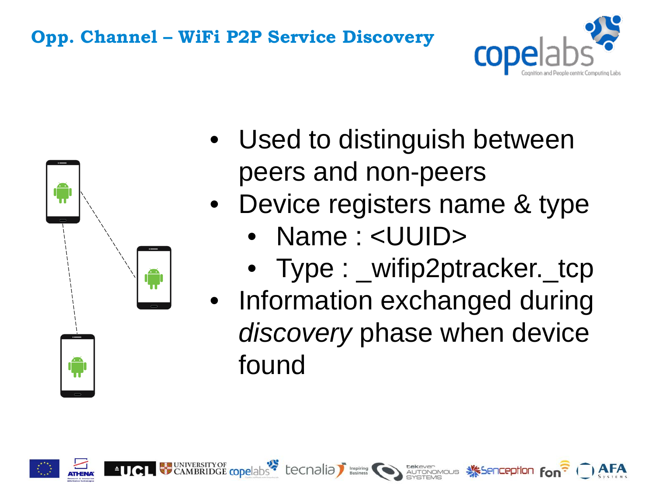## **Opp. Channel – WiFi P2P Service Discovery**





- Used to distinguish between peers and non-peers
- Device registers name & type
	- Name : <UUID>
	- Type : \_wifip2ptracker.\_tcp
- Information exchanged during *discovery* phase when device found

CAMBRIDGE copelabs tecnalia business to autonomous Secretion fon<sup>2</sup>

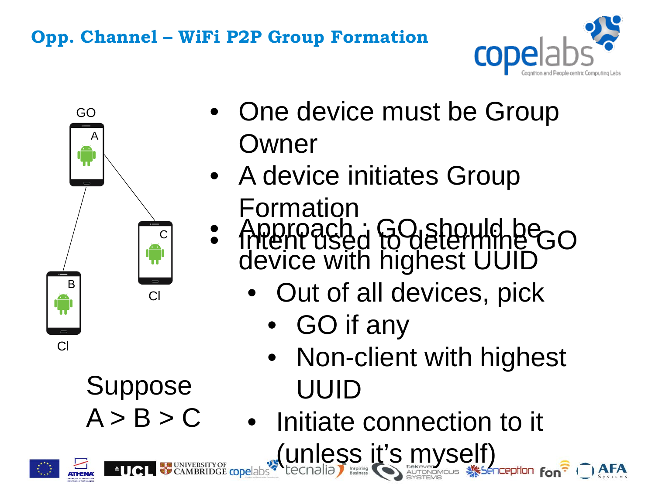## **Opp. Channel – WiFi P2P Group Formation**





**Suppose** 

 $A > B > C$ 

- One device must be Group Owner
- A device initiates Group
- Formation • Approach : GO should be o
	- device with highest UUID
		- Out of all devices, pick
			- GO if any
			- Non-client with highest UUID

• Initiate connection to it (unless it's myself)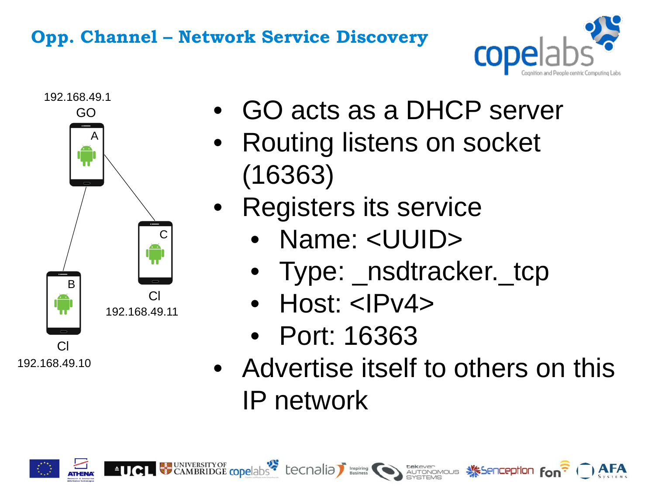## **Opp. Channel – Network Service Discovery**





- GO acts as a DHCP server
- Routing listens on socket (16363)
- Registers its service
	- Name: <UUID>
	- Type: \_nsdtracker. tcp
	- Host: <IPv4>
	- Port: 16363
- Advertise itself to others on this IP network

CAMBRIDGE copelabs tecnalia business to autonomous Secretion fon<sup>2</sup>